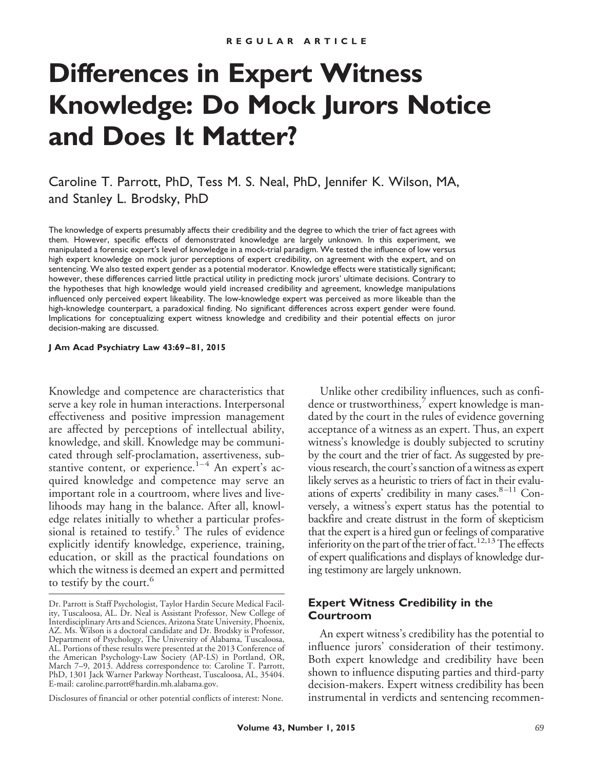# **Differences in Expert Witness Knowledge: Do Mock Jurors Notice and Does It Matter?**

Caroline T. Parrott, PhD, Tess M. S. Neal, PhD, Jennifer K. Wilson, MA, and Stanley L. Brodsky, PhD

The knowledge of experts presumably affects their credibility and the degree to which the trier of fact agrees with them. However, specific effects of demonstrated knowledge are largely unknown. In this experiment, we manipulated a forensic expert's level of knowledge in a mock-trial paradigm. We tested the influence of low versus high expert knowledge on mock juror perceptions of expert credibility, on agreement with the expert, and on sentencing. We also tested expert gender as a potential moderator. Knowledge effects were statistically significant; however, these differences carried little practical utility in predicting mock jurors' ultimate decisions. Contrary to the hypotheses that high knowledge would yield increased credibility and agreement, knowledge manipulations influenced only perceived expert likeability. The low-knowledge expert was perceived as more likeable than the high-knowledge counterpart, a paradoxical finding. No significant differences across expert gender were found. Implications for conceptualizing expert witness knowledge and credibility and their potential effects on juror decision-making are discussed.

#### **J Am Acad Psychiatry Law 43:69 – 81, 2015**

Knowledge and competence are characteristics that serve a key role in human interactions. Interpersonal effectiveness and positive impression management are affected by perceptions of intellectual ability, knowledge, and skill. Knowledge may be communicated through self-proclamation, assertiveness, substantive content, or experience. $1-4$  An expert's acquired knowledge and competence may serve an important role in a courtroom, where lives and livelihoods may hang in the balance. After all, knowledge relates initially to whether a particular professional is retained to testify. $5$  The rules of evidence explicitly identify knowledge, experience, training, education, or skill as the practical foundations on which the witness is deemed an expert and permitted to testify by the court.<sup>6</sup>

Disclosures of financial or other potential conflicts of interest: None.

Unlike other credibility influences, such as confidence or trustworthiness, expert knowledge is mandated by the court in the rules of evidence governing acceptance of a witness as an expert. Thus, an expert witness's knowledge is doubly subjected to scrutiny by the court and the trier of fact. As suggested by previous research, the court's sanction of a witness as expert likely serves as a heuristic to triers of fact in their evaluations of experts' credibility in many cases. $8-11$  Conversely, a witness's expert status has the potential to backfire and create distrust in the form of skepticism that the expert is a hired gun or feelings of comparative inferiority on the part of the trier of fact.<sup>12,13</sup> The effects of expert qualifications and displays of knowledge during testimony are largely unknown.

#### **Expert Witness Credibility in the Courtroom**

An expert witness's credibility has the potential to influence jurors' consideration of their testimony. Both expert knowledge and credibility have been shown to influence disputing parties and third-party decision-makers. Expert witness credibility has been instrumental in verdicts and sentencing recommen-

Dr. Parrott is Staff Psychologist, Taylor Hardin Secure Medical Facility, Tuscaloosa, AL. Dr. Neal is Assistant Professor, New College of Interdisciplinary Arts and Sciences, Arizona State University, Phoenix, AZ. Ms. Wilson is a doctoral candidate and Dr. Brodsky is Professor, Department of Psychology, The University of Alabama, Tuscaloosa, AL. Portions of these results were presented at the 2013 Conference of the American Psychology-Law Society (AP-LS) in Portland, OR, March 7–9, 2013. Address correspondence to: Caroline T. Parrott, PhD, 1301 Jack Warner Parkway Northeast, Tuscaloosa, AL, 35404. E-mail: caroline.parrott@hardin.mh.alabama.gov.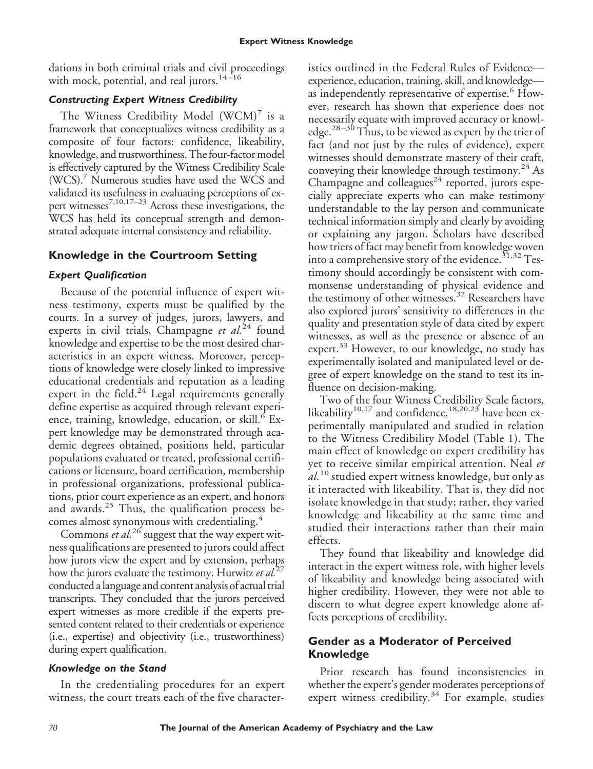dations in both criminal trials and civil proceedings with mock, potential, and real jurors. $14-16$ 

## *Constructing Expert Witness Credibility*

The Witness Credibility Model  $(WCM)'$  is a framework that conceptualizes witness credibility as a composite of four factors: confidence, likeability, knowledge, and trustworthiness. The four-factor model is effectively captured by the Witness Credibility Scale (WCS).7 Numerous studies have used the WCS and validated its usefulness in evaluating perceptions of expert witnesses<sup>7,10,17–23</sup> Across these investigations, the WCS has held its conceptual strength and demonstrated adequate internal consistency and reliability.

## **Knowledge in the Courtroom Setting**

## *Expert Qualification*

Because of the potential influence of expert witness testimony, experts must be qualified by the courts. In a survey of judges, jurors, lawyers, and experts in civil trials, Champagne *et al.*<sup>24</sup> found knowledge and expertise to be the most desired characteristics in an expert witness. Moreover, perceptions of knowledge were closely linked to impressive educational credentials and reputation as a leading expert in the field.<sup>24</sup> Legal requirements generally define expertise as acquired through relevant experience, training, knowledge, education, or skill.<sup>6</sup> Expert knowledge may be demonstrated through academic degrees obtained, positions held, particular populations evaluated or treated, professional certifications or licensure, board certification, membership in professional organizations, professional publications, prior court experience as an expert, and honors and awards.<sup>25</sup> Thus, the qualification process becomes almost synonymous with credentialing.<sup>4</sup>

Commons *et al*. <sup>26</sup> suggest that the way expert witness qualifications are presented to jurors could affect how jurors view the expert and by extension, perhaps how the jurors evaluate the testimony. Hurwitz *et al.*<sup>27</sup> conducted a language and content analysis of actual trial transcripts. They concluded that the jurors perceived expert witnesses as more credible if the experts presented content related to their credentials or experience (i.e., expertise) and objectivity (i.e., trustworthiness) during expert qualification.

## *Knowledge on the Stand*

In the credentialing procedures for an expert witness, the court treats each of the five character-

istics outlined in the Federal Rules of Evidence experience, education, training, skill, and knowledge as independently representative of expertise.<sup>6</sup> However, research has shown that experience does not necessarily equate with improved accuracy or knowledge. $28-30$  Thus, to be viewed as expert by the trier of fact (and not just by the rules of evidence), expert witnesses should demonstrate mastery of their craft, conveying their knowledge through testimony.<sup>24</sup> As Champagne and colleagues<sup>24</sup> reported, jurors especially appreciate experts who can make testimony understandable to the lay person and communicate technical information simply and clearly by avoiding or explaining any jargon. Scholars have described how triers of fact may benefit from knowledge woven into a comprehensive story of the evidence.<sup>31,32</sup> Testimony should accordingly be consistent with commonsense understanding of physical evidence and the testimony of other witnesses.<sup>32</sup> Researchers have also explored jurors' sensitivity to differences in the quality and presentation style of data cited by expert witnesses, as well as the presence or absence of an expert.<sup>33</sup> However, to our knowledge, no study has experimentally isolated and manipulated level or degree of expert knowledge on the stand to test its influence on decision-making.

Two of the four Witness Credibility Scale factors, likeability<sup>10,17</sup> and confidence,<sup>18,20,23</sup> have been experimentally manipulated and studied in relation to the Witness Credibility Model (Table 1). The main effect of knowledge on expert credibility has yet to receive similar empirical attention. Neal *et al.*<sup>10</sup> studied expert witness knowledge, but only as it interacted with likeability. That is, they did not isolate knowledge in that study; rather, they varied knowledge and likeability at the same time and studied their interactions rather than their main effects.

They found that likeability and knowledge did interact in the expert witness role, with higher levels of likeability and knowledge being associated with higher credibility. However, they were not able to discern to what degree expert knowledge alone affects perceptions of credibility.

## **Gender as a Moderator of Perceived Knowledge**

Prior research has found inconsistencies in whether the expert's gender moderates perceptions of expert witness credibility.<sup>34</sup> For example, studies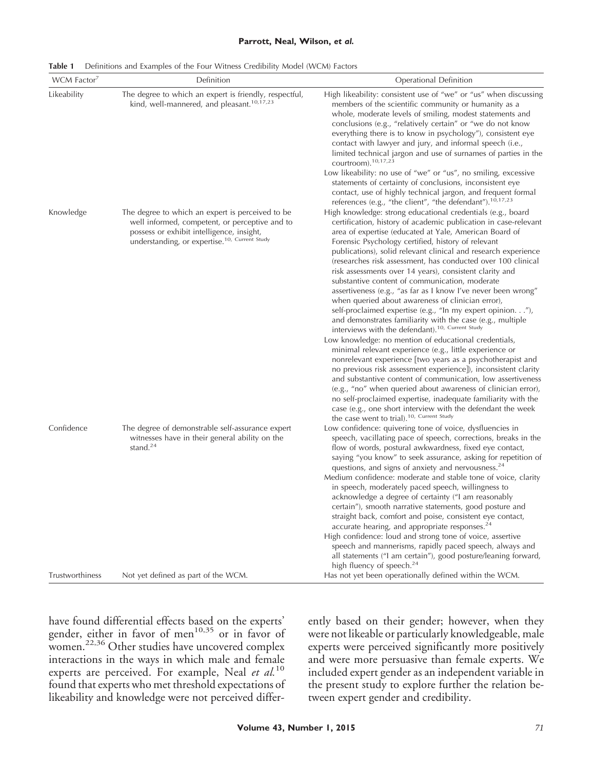#### **Parrott, Neal, Wilson,** *et al.*

| WCM Factor                                 | Definition                                                                                                                                                                                                   | Operational Definition                                                                                                                                                                                                                                                                                                                                                                                                                                                                                                                                                                                                          |  |  |
|--------------------------------------------|--------------------------------------------------------------------------------------------------------------------------------------------------------------------------------------------------------------|---------------------------------------------------------------------------------------------------------------------------------------------------------------------------------------------------------------------------------------------------------------------------------------------------------------------------------------------------------------------------------------------------------------------------------------------------------------------------------------------------------------------------------------------------------------------------------------------------------------------------------|--|--|
| Likeability                                | The degree to which an expert is friendly, respectful,<br>kind, well-mannered, and pleasant. <sup>10,17,23</sup>                                                                                             | High likeability: consistent use of "we" or "us" when discussing<br>members of the scientific community or humanity as a<br>whole, moderate levels of smiling, modest statements and<br>conclusions (e.g., "relatively certain" or "we do not know<br>everything there is to know in psychology"), consistent eye<br>contact with lawyer and jury, and informal speech (i.e.,<br>limited technical jargon and use of surnames of parties in the<br>courtroom). $10,17,23$<br>Low likeability: no use of "we" or "us", no smiling, excessive                                                                                     |  |  |
| Knowledge<br>Confidence<br>Trustworthiness | The degree to which an expert is perceived to be<br>well informed, competent, or perceptive and to<br>possess or exhibit intelligence, insight,<br>understanding, or expertise. <sup>10, Current Study</sup> | statements of certainty of conclusions, inconsistent eye<br>contact, use of highly technical jargon, and frequent formal<br>references (e.g., "the client", "the defendant"). <sup>10,17,23</sup><br>High knowledge: strong educational credentials (e.g., board<br>certification, history of academic publication in case-relevant<br>area of expertise (educated at Yale, American Board of<br>Forensic Psychology certified, history of relevant                                                                                                                                                                             |  |  |
|                                            |                                                                                                                                                                                                              | publications), solid relevant clinical and research experience<br>(researches risk assessment, has conducted over 100 clinical<br>risk assessments over 14 years), consistent clarity and<br>substantive content of communication, moderate<br>assertiveness (e.g., "as far as I know I've never been wrong"<br>when queried about awareness of clinician error),<br>self-proclaimed expertise (e.g., "In my expert opinion."),<br>and demonstrates familiarity with the case (e.g., multiple<br>interviews with the defendant). <sup>10, Current Study</sup>                                                                   |  |  |
|                                            |                                                                                                                                                                                                              | Low knowledge: no mention of educational credentials,<br>minimal relevant experience (e.g., little experience or<br>nonrelevant experience [two years as a psychotherapist and<br>no previous risk assessment experience]), inconsistent clarity<br>and substantive content of communication, low assertiveness<br>(e.g., "no" when queried about awareness of clinician error),<br>no self-proclaimed expertise, inadequate familiarity with the<br>case (e.g., one short interview with the defendant the week<br>the case went to trial). <sup>10, Current Study</sup>                                                       |  |  |
|                                            | The degree of demonstrable self-assurance expert<br>witnesses have in their general ability on the<br>stand. $24$                                                                                            | Low confidence: quivering tone of voice, dysfluencies in<br>speech, vacillating pace of speech, corrections, breaks in the<br>flow of words, postural awkwardness, fixed eye contact,<br>saying "you know" to seek assurance, asking for repetition of<br>questions, and signs of anxiety and nervousness. <sup>24</sup><br>Medium confidence: moderate and stable tone of voice, clarity<br>in speech, moderately paced speech, willingness to<br>acknowledge a degree of certainty ("I am reasonably<br>certain"), smooth narrative statements, good posture and<br>straight back, comfort and poise, consistent eye contact, |  |  |
|                                            | Not yet defined as part of the WCM.                                                                                                                                                                          | accurate hearing, and appropriate responses. <sup>24</sup><br>High confidence: loud and strong tone of voice, assertive<br>speech and mannerisms, rapidly paced speech, always and<br>all statements ("I am certain"), good posture/leaning forward,<br>high fluency of speech. <sup>24</sup><br>Has not yet been operationally defined within the WCM.                                                                                                                                                                                                                                                                         |  |  |

**Table 1** Definitions and Examples of the Four Witness Credibility Model (WCM) Factors

have found differential effects based on the experts' gender, either in favor of men<sup>10,35</sup> or in favor of women.<sup>22,36</sup> Other studies have uncovered complex interactions in the ways in which male and female experts are perceived. For example, Neal *et al.*<sup>10</sup> found that experts who met threshold expectations of likeability and knowledge were not perceived differently based on their gender; however, when they were not likeable or particularly knowledgeable, male experts were perceived significantly more positively and were more persuasive than female experts. We included expert gender as an independent variable in the present study to explore further the relation between expert gender and credibility.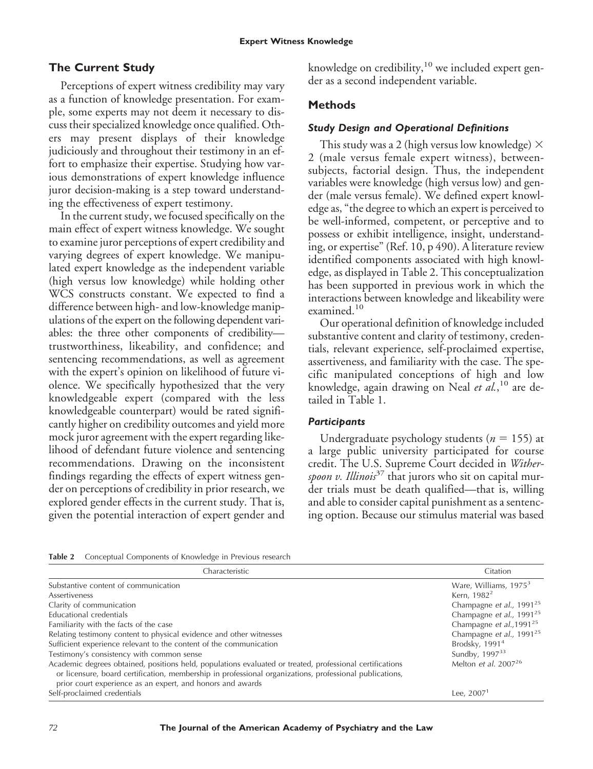## **The Current Study**

Perceptions of expert witness credibility may vary as a function of knowledge presentation. For example, some experts may not deem it necessary to discuss their specialized knowledge once qualified. Others may present displays of their knowledge judiciously and throughout their testimony in an effort to emphasize their expertise. Studying how various demonstrations of expert knowledge influence juror decision-making is a step toward understanding the effectiveness of expert testimony.

In the current study, we focused specifically on the main effect of expert witness knowledge. We sought to examine juror perceptions of expert credibility and varying degrees of expert knowledge. We manipulated expert knowledge as the independent variable (high versus low knowledge) while holding other WCS constructs constant. We expected to find a difference between high- and low-knowledge manipulations of the expert on the following dependent variables: the three other components of credibility trustworthiness, likeability, and confidence; and sentencing recommendations, as well as agreement with the expert's opinion on likelihood of future violence. We specifically hypothesized that the very knowledgeable expert (compared with the less knowledgeable counterpart) would be rated significantly higher on credibility outcomes and yield more mock juror agreement with the expert regarding likelihood of defendant future violence and sentencing recommendations. Drawing on the inconsistent findings regarding the effects of expert witness gender on perceptions of credibility in prior research, we explored gender effects in the current study. That is, given the potential interaction of expert gender and

knowledge on credibility, $10$  we included expert gender as a second independent variable.

#### **Methods**

#### *Study Design and Operational Definitions*

This study was a 2 (high versus low knowledge)  $\times$ 2 (male versus female expert witness), betweensubjects, factorial design. Thus, the independent variables were knowledge (high versus low) and gender (male versus female). We defined expert knowledge as, "the degree to which an expert is perceived to be well-informed, competent, or perceptive and to possess or exhibit intelligence, insight, understanding, or expertise" (Ref. 10, p 490). A literature review identified components associated with high knowledge, as displayed in Table 2. This conceptualization has been supported in previous work in which the interactions between knowledge and likeability were examined.<sup>10</sup>

Our operational definition of knowledge included substantive content and clarity of testimony, credentials, relevant experience, self-proclaimed expertise, assertiveness, and familiarity with the case. The specific manipulated conceptions of high and low knowledge, again drawing on Neal *et al.*, <sup>10</sup> are detailed in Table 1.

#### *Participants*

Undergraduate psychology students ( $n = 155$ ) at a large public university participated for course credit. The U.S. Supreme Court decided in *Witherspoon v. Illinois*<sup>37</sup> that jurors who sit on capital murder trials must be death qualified—that is, willing and able to consider capital punishment as a sentencing option. Because our stimulus material was based

**Table 2** Conceptual Components of Knowledge in Previous research

| Characteristic                                                                                                                                                                                                                                                                    | Citation                             |
|-----------------------------------------------------------------------------------------------------------------------------------------------------------------------------------------------------------------------------------------------------------------------------------|--------------------------------------|
| Substantive content of communication                                                                                                                                                                                                                                              | Ware, Williams, 1975 <sup>3</sup>    |
| Assertiveness                                                                                                                                                                                                                                                                     | Kern, 1982 <sup>2</sup>              |
| Clarity of communication                                                                                                                                                                                                                                                          | Champagne et al., 1991 <sup>25</sup> |
| Educational credentials                                                                                                                                                                                                                                                           | Champagne et al., 1991 <sup>25</sup> |
| Familiarity with the facts of the case                                                                                                                                                                                                                                            | Champagne et al., 1991 <sup>25</sup> |
| Relating testimony content to physical evidence and other witnesses                                                                                                                                                                                                               | Champagne et al., 1991 <sup>25</sup> |
| Sufficient experience relevant to the content of the communication                                                                                                                                                                                                                | Brodsky, 1991 <sup>4</sup>           |
| Testimony's consistency with common sense                                                                                                                                                                                                                                         | Sundby, 1997 <sup>33</sup>           |
| Academic degrees obtained, positions held, populations evaluated or treated, professional certifications<br>or licensure, board certification, membership in professional organizations, professional publications,<br>prior court experience as an expert, and honors and awards | Melton et al. $2007^{26}$            |
| Self-proclaimed credentials                                                                                                                                                                                                                                                       | Lee, $20071$                         |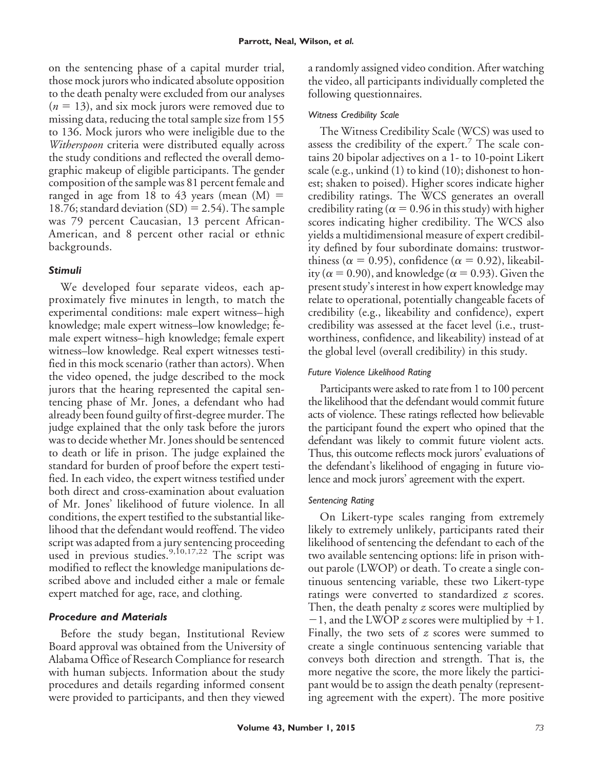on the sentencing phase of a capital murder trial, those mock jurors who indicated absolute opposition to the death penalty were excluded from our analyses  $(n = 13)$ , and six mock jurors were removed due to missing data, reducing the total sample size from 155 to 136. Mock jurors who were ineligible due to the *Witherspoon* criteria were distributed equally across the study conditions and reflected the overall demographic makeup of eligible participants. The gender composition of the sample was 81 percent female and ranged in age from 18 to 43 years (mean  $(M)$  = 18.76; standard deviation  $(SD) = 2.54$ ). The sample was 79 percent Caucasian, 13 percent African-American, and 8 percent other racial or ethnic backgrounds.

#### *Stimuli*

We developed four separate videos, each approximately five minutes in length, to match the experimental conditions: male expert witness– high knowledge; male expert witness–low knowledge; female expert witness– high knowledge; female expert witness–low knowledge. Real expert witnesses testified in this mock scenario (rather than actors). When the video opened, the judge described to the mock jurors that the hearing represented the capital sentencing phase of Mr. Jones, a defendant who had already been found guilty of first-degree murder. The judge explained that the only task before the jurors was to decide whether Mr. Jones should be sentenced to death or life in prison. The judge explained the standard for burden of proof before the expert testified. In each video, the expert witness testified under both direct and cross-examination about evaluation of Mr. Jones' likelihood of future violence. In all conditions, the expert testified to the substantial likelihood that the defendant would reoffend. The video script was adapted from a jury sentencing proceeding used in previous studies.<sup>9,10,17,22</sup> The script was modified to reflect the knowledge manipulations described above and included either a male or female expert matched for age, race, and clothing.

## *Procedure and Materials*

Before the study began, Institutional Review Board approval was obtained from the University of Alabama Office of Research Compliance for research with human subjects. Information about the study procedures and details regarding informed consent were provided to participants, and then they viewed a randomly assigned video condition. After watching the video, all participants individually completed the following questionnaires.

## *Witness Credibility Scale*

The Witness Credibility Scale (WCS) was used to assess the credibility of the expert.<sup>7</sup> The scale contains 20 bipolar adjectives on a 1- to 10-point Likert scale (e.g., unkind (1) to kind (10); dishonest to honest; shaken to poised). Higher scores indicate higher credibility ratings. The WCS generates an overall credibility rating ( $\alpha$  = 0.96 in this study) with higher scores indicating higher credibility. The WCS also yields a multidimensional measure of expert credibility defined by four subordinate domains: trustworthiness ( $\alpha = 0.95$ ), confidence ( $\alpha = 0.92$ ), likeability ( $\alpha$  = 0.90), and knowledge ( $\alpha$  = 0.93). Given the present study's interest in how expert knowledge may relate to operational, potentially changeable facets of credibility (e.g., likeability and confidence), expert credibility was assessed at the facet level (i.e., trustworthiness, confidence, and likeability) instead of at the global level (overall credibility) in this study.

#### *Future Violence Likelihood Rating*

Participants were asked to rate from 1 to 100 percent the likelihood that the defendant would commit future acts of violence. These ratings reflected how believable the participant found the expert who opined that the defendant was likely to commit future violent acts. Thus, this outcome reflects mock jurors' evaluations of the defendant's likelihood of engaging in future violence and mock jurors' agreement with the expert.

## *Sentencing Rating*

On Likert-type scales ranging from extremely likely to extremely unlikely, participants rated their likelihood of sentencing the defendant to each of the two available sentencing options: life in prison without parole (LWOP) or death. To create a single continuous sentencing variable, these two Likert-type ratings were converted to standardized *z* scores. Then, the death penalty *z* scores were multiplied by  $-1$ , and the LWOP *z* scores were multiplied by  $+1$ . Finally, the two sets of *z* scores were summed to create a single continuous sentencing variable that conveys both direction and strength. That is, the more negative the score, the more likely the participant would be to assign the death penalty (representing agreement with the expert). The more positive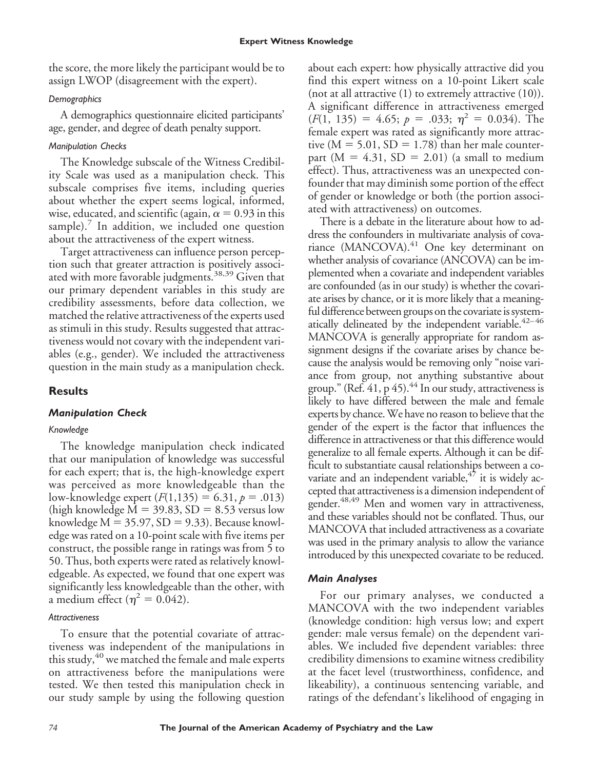the score, the more likely the participant would be to assign LWOP (disagreement with the expert).

#### *Demographics*

A demographics questionnaire elicited participants' age, gender, and degree of death penalty support.

#### *Manipulation Checks*

The Knowledge subscale of the Witness Credibility Scale was used as a manipulation check. This subscale comprises five items, including queries about whether the expert seems logical, informed, wise, educated, and scientific (again,  $\alpha$  = 0.93 in this sample). $\frac{7}{1}$  In addition, we included one question about the attractiveness of the expert witness.

Target attractiveness can influence person perception such that greater attraction is positively associated with more favorable judgments.<sup>38,39</sup> Given that our primary dependent variables in this study are credibility assessments, before data collection, we matched the relative attractiveness of the experts used as stimuli in this study. Results suggested that attractiveness would not covary with the independent variables (e.g., gender). We included the attractiveness question in the main study as a manipulation check.

# **Results**

## *Manipulation Check*

## *Knowledge*

The knowledge manipulation check indicated that our manipulation of knowledge was successful for each expert; that is, the high-knowledge expert was perceived as more knowledgeable than the low-knowledge expert  $(F(1,135) = 6.31, p = .013)$ (high knowledge  $M = 39.83$ ,  $SD = 8.53$  versus low knowledge  $M = 35.97$ ,  $SD = 9.33$ ). Because knowledge was rated on a 10-point scale with five items per construct, the possible range in ratings was from 5 to 50. Thus, both experts were rated as relatively knowledgeable. As expected, we found that one expert was significantly less knowledgeable than the other, with a medium effect ( $\eta^2 = 0.042$ ).

#### *Attractiveness*

To ensure that the potential covariate of attractiveness was independent of the manipulations in this study, $40$  we matched the female and male experts on attractiveness before the manipulations were tested. We then tested this manipulation check in our study sample by using the following question

about each expert: how physically attractive did you find this expert witness on a 10-point Likert scale (not at all attractive  $(1)$  to extremely attractive  $(10)$ ). A significant difference in attractiveness emerged  $(F(1, 135) = 4.65; p = .033; \eta^2 = 0.034)$ . The female expert was rated as significantly more attractive ( $M = 5.01$ ,  $SD = 1.78$ ) than her male counterpart ( $M = 4.31$ ,  $SD = 2.01$ ) (a small to medium effect). Thus, attractiveness was an unexpected confounder that may diminish some portion of the effect of gender or knowledge or both (the portion associated with attractiveness) on outcomes.

There is a debate in the literature about how to address the confounders in multivariate analysis of covariance (MANCOVA).<sup>41</sup> One key determinant on whether analysis of covariance (ANCOVA) can be implemented when a covariate and independent variables are confounded (as in our study) is whether the covariate arises by chance, or it is more likely that a meaningful difference between groups on the covariate is systematically delineated by the independent variable. $42-46$ MANCOVA is generally appropriate for random assignment designs if the covariate arises by chance because the analysis would be removing only "noise variance from group, not anything substantive about group." (Ref.  $41$ ,  $p 45$ ).<sup>44</sup> In our study, attractiveness is likely to have differed between the male and female experts by chance.We have no reason to believe that the gender of the expert is the factor that influences the difference in attractiveness or that this difference would generalize to all female experts. Although it can be difficult to substantiate causal relationships between a covariate and an independent variable, $47$  it is widely accepted that attractiveness is a dimension independent of gender.<sup>48,49</sup> Men and women vary in attractiveness, and these variables should not be conflated. Thus, our MANCOVA that included attractiveness as a covariate was used in the primary analysis to allow the variance introduced by this unexpected covariate to be reduced.

## *Main Analyses*

For our primary analyses, we conducted a MANCOVA with the two independent variables (knowledge condition: high versus low; and expert gender: male versus female) on the dependent variables. We included five dependent variables: three credibility dimensions to examine witness credibility at the facet level (trustworthiness, confidence, and likeability), a continuous sentencing variable, and ratings of the defendant's likelihood of engaging in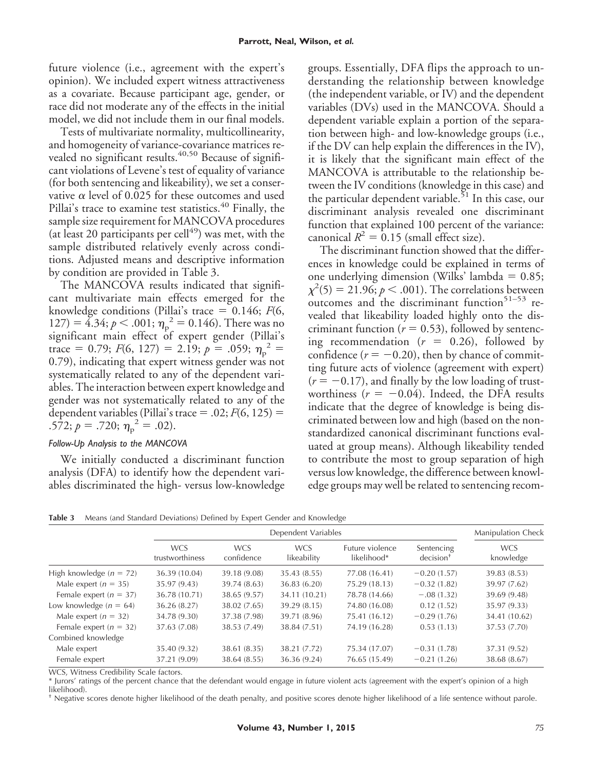future violence (i.e., agreement with the expert's opinion). We included expert witness attractiveness as a covariate. Because participant age, gender, or race did not moderate any of the effects in the initial model, we did not include them in our final models.

Tests of multivariate normality, multicollinearity, and homogeneity of variance-covariance matrices revealed no significant results.<sup>40,50</sup> Because of significant violations of Levene's test of equality of variance (for both sentencing and likeability), we set a conservative  $\alpha$  level of 0.025 for these outcomes and used Pillai's trace to examine test statistics.<sup>40</sup> Finally, the sample size requirement for MANCOVA procedures (at least 20 participants per cell $^{49}$ ) was met, with the sample distributed relatively evenly across conditions. Adjusted means and descriptive information by condition are provided in Table 3.

The MANCOVA results indicated that significant multivariate main effects emerged for the knowledge conditions (Pillai's trace  $= 0.146$ ;  $F(6, 1.146)$ 127) =  $4.34; p < .001; \eta_p^2 = 0.146$ . There was no significant main effect of expert gender (Pillai's trace = 0.79;  $F(6, 127) = 2.19$ ;  $p = .059$ ;  $\eta_p^2 =$ 0.79), indicating that expert witness gender was not systematically related to any of the dependent variables. The interaction between expert knowledge and gender was not systematically related to any of the dependent variables (Pillai's trace  $= .02; F(6, 125) =$ .572;  $p = .720$ ;  $\eta_p^2 = .02$ ).

#### *Follow-Up Analysis to the MANCOVA*

We initially conducted a discriminant function analysis (DFA) to identify how the dependent variables discriminated the high- versus low-knowledge groups. Essentially, DFA flips the approach to understanding the relationship between knowledge (the independent variable, or IV) and the dependent variables (DVs) used in the MANCOVA. Should a dependent variable explain a portion of the separation between high- and low-knowledge groups (i.e., if the DV can help explain the differences in the IV), it is likely that the significant main effect of the MANCOVA is attributable to the relationship between the IV conditions (knowledge in this case) and the particular dependent variable.<sup>51</sup> In this case, our discriminant analysis revealed one discriminant function that explained 100 percent of the variance: canonical  $R^2 = 0.15$  (small effect size).

The discriminant function showed that the differences in knowledge could be explained in terms of one underlying dimension (Wilks' lambda  $= 0.85$ ;  $\chi^2(5)=21.96; p<.001$ ). The correlations between outcomes and the discriminant function<sup>51-53</sup> revealed that likeability loaded highly onto the discriminant function ( $r = 0.53$ ), followed by sentencing recommendation  $(r = 0.26)$ , followed by confidence  $(r = -0.20)$ , then by chance of committing future acts of violence (agreement with expert)  $(r = -0.17)$ , and finally by the low loading of trustworthiness  $(r = -0.04)$ . Indeed, the DFA results indicate that the degree of knowledge is being discriminated between low and high (based on the nonstandardized canonical discriminant functions evaluated at group means). Although likeability tended to contribute the most to group separation of high versus low knowledge, the difference between knowledge groups may well be related to sentencing recom-

**Table 3** Means (and Standard Deviations) Defined by Expert Gender and Knowledge

|                            | Dependent Variables           |                          |                           |                                |                           | <b>Manipulation Check</b> |  |
|----------------------------|-------------------------------|--------------------------|---------------------------|--------------------------------|---------------------------|---------------------------|--|
|                            | <b>WCS</b><br>trustworthiness | <b>WCS</b><br>confidence | <b>WCS</b><br>likeability | Euture violence<br>likelihood* | Sentencing<br>$decision+$ | <b>WCS</b><br>knowledge   |  |
| High knowledge $(n = 72)$  | 36.39 (10.04)                 | 39.18 (9.08)             | 35.43 (8.55)              | 77.08 (16.41)                  | $-0.20(1.57)$             | 39.83 (8.53)              |  |
| Male expert ( $n = 35$ )   | 35.97 (9.43)                  | 39.74 (8.63)             | 36.83(6.20)               | 75.29 (18.13)                  | $-0.32(1.82)$             | 39.97 (7.62)              |  |
| Female expert ( $n = 37$ ) | 36.78 (10.71)                 | 38.65 (9.57)             | 34.11 (10.21)             | 78.78 (14.66)                  | $-.08(1.32)$              | 39.69 (9.48)              |  |
| Low knowledge $(n = 64)$   | 36.26 (8.27)                  | 38.02 (7.65)             | 39.29 (8.15)              | 74.80 (16.08)                  | 0.12(1.52)                | 35.97 (9.33)              |  |
| Male expert ( $n = 32$ )   | 34.78 (9.30)                  | 37.38 (7.98)             | 39.71 (8.96)              | 75.41 (16.12)                  | $-0.29(1.76)$             | 34.41 (10.62)             |  |
| Female expert ( $n = 32$ ) | 37.63 (7.08)                  | 38.53 (7.49)             | 38.84 (7.51)              | 74.19 (16.28)                  | 0.53(1.13)                | 37.53 (7.70)              |  |
| Combined knowledge         |                               |                          |                           |                                |                           |                           |  |
| Male expert                | 35.40 (9.32)                  | 38.61 (8.35)             | 38.21 (7.72)              | 75.34 (17.07)                  | $-0.31(1.78)$             | 37.31 (9.52)              |  |
| Female expert              | 37.21 (9.09)                  | 38.64 (8.55)             | 36.36 (9.24)              | 76.65 (15.49)                  | $-0.21(1.26)$             | 38.68 (8.67)              |  |

WCS, Witness Credibility Scale factors.

\* Jurors' ratings of the percent chance that the defendant would engage in future violent acts (agreement with the expert's opinion of a high likelihood).

† Negative scores denote higher likelihood of the death penalty, and positive scores denote higher likelihood of a life sentence without parole.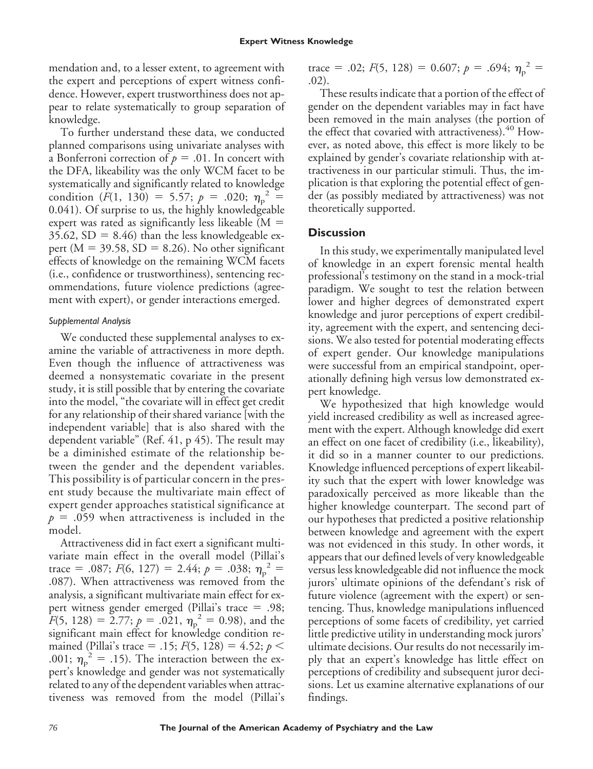mendation and, to a lesser extent, to agreement with the expert and perceptions of expert witness confidence. However, expert trustworthiness does not appear to relate systematically to group separation of knowledge.

To further understand these data, we conducted planned comparisons using univariate analyses with a Bonferroni correction of  $p = .01$ . In concert with the DFA, likeability was the only WCM facet to be systematically and significantly related to knowledge condition  $(F(1, 130)) = 5.57; p = .020; \eta_p^2 =$ 0.041). Of surprise to us, the highly knowledgeable expert was rated as significantly less likeable  $(M =$  $35.62$ ,  $SD = 8.46$ ) than the less knowledgeable expert ( $M = 39.58$ ,  $SD = 8.26$ ). No other significant effects of knowledge on the remaining WCM facets (i.e., confidence or trustworthiness), sentencing recommendations, future violence predictions (agreement with expert), or gender interactions emerged.

#### *Supplemental Analysis*

We conducted these supplemental analyses to examine the variable of attractiveness in more depth. Even though the influence of attractiveness was deemed a nonsystematic covariate in the present study, it is still possible that by entering the covariate into the model, "the covariate will in effect get credit for any relationship of their shared variance [with the independent variable] that is also shared with the dependent variable" (Ref. 41, p 45). The result may be a diminished estimate of the relationship between the gender and the dependent variables. This possibility is of particular concern in the present study because the multivariate main effect of expert gender approaches statistical significance at  $p = .059$  when attractiveness is included in the model.

Attractiveness did in fact exert a significant multivariate main effect in the overall model (Pillai's trace = .087;  $F(6, 127) = 2.44$ ;  $p = .038$ ;  $\eta_p^2 =$ .087). When attractiveness was removed from the analysis, a significant multivariate main effect for expert witness gender emerged (Pillai's trace  $= .98$ ;  $F(5, 128) = 2.77; p = .021, \eta_p^2 = 0.98$ , and the significant main effect for knowledge condition remained (Pillai's trace = .15;  $F(5, 128) = 4.52$ ;  $p <$ .001;  $\eta_{\rm p}^2 = .15$ ). The interaction between the expert's knowledge and gender was not systematically related to any of the dependent variables when attractiveness was removed from the model (Pillai's trace = .02;  $F(5, 128) = 0.607$ ;  $p = .694$ ;  $\eta_p^2 =$ .02).

These results indicate that a portion of the effect of gender on the dependent variables may in fact have been removed in the main analyses (the portion of the effect that covaried with attractiveness).<sup>40</sup> However, as noted above, this effect is more likely to be explained by gender's covariate relationship with attractiveness in our particular stimuli. Thus, the implication is that exploring the potential effect of gender (as possibly mediated by attractiveness) was not theoretically supported.

#### **Discussion**

In this study, we experimentally manipulated level of knowledge in an expert forensic mental health professional's testimony on the stand in a mock-trial paradigm. We sought to test the relation between lower and higher degrees of demonstrated expert knowledge and juror perceptions of expert credibility, agreement with the expert, and sentencing decisions. We also tested for potential moderating effects of expert gender. Our knowledge manipulations were successful from an empirical standpoint, operationally defining high versus low demonstrated expert knowledge.

We hypothesized that high knowledge would yield increased credibility as well as increased agreement with the expert. Although knowledge did exert an effect on one facet of credibility (i.e., likeability), it did so in a manner counter to our predictions. Knowledge influenced perceptions of expert likeability such that the expert with lower knowledge was paradoxically perceived as more likeable than the higher knowledge counterpart. The second part of our hypotheses that predicted a positive relationship between knowledge and agreement with the expert was not evidenced in this study. In other words, it appears that our defined levels of very knowledgeable versus less knowledgeable did not influence the mock jurors' ultimate opinions of the defendant's risk of future violence (agreement with the expert) or sentencing. Thus, knowledge manipulations influenced perceptions of some facets of credibility, yet carried little predictive utility in understanding mock jurors' ultimate decisions. Our results do not necessarily imply that an expert's knowledge has little effect on perceptions of credibility and subsequent juror decisions. Let us examine alternative explanations of our findings.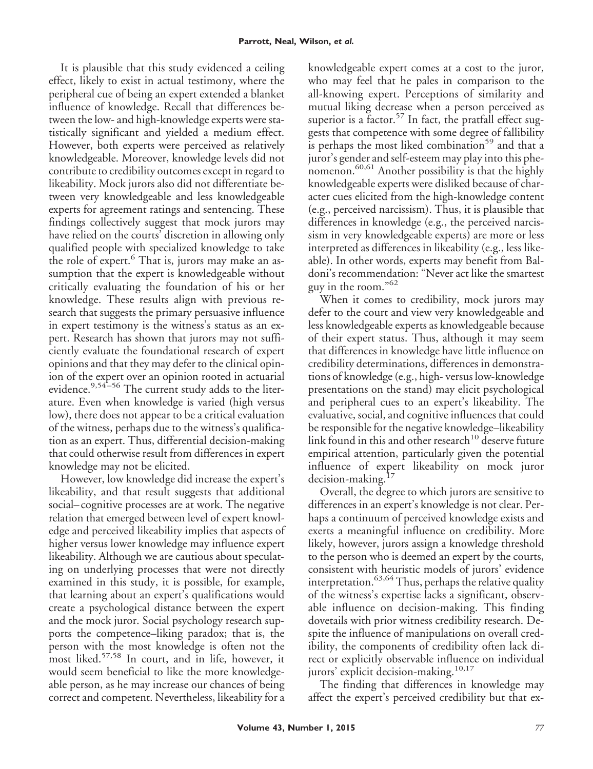It is plausible that this study evidenced a ceiling effect, likely to exist in actual testimony, where the peripheral cue of being an expert extended a blanket influence of knowledge. Recall that differences between the low- and high-knowledge experts were statistically significant and yielded a medium effect. However, both experts were perceived as relatively knowledgeable. Moreover, knowledge levels did not contribute to credibility outcomes except in regard to likeability. Mock jurors also did not differentiate between very knowledgeable and less knowledgeable experts for agreement ratings and sentencing. These findings collectively suggest that mock jurors may have relied on the courts' discretion in allowing only qualified people with specialized knowledge to take the role of expert.<sup>6</sup> That is, jurors may make an assumption that the expert is knowledgeable without critically evaluating the foundation of his or her knowledge. These results align with previous research that suggests the primary persuasive influence in expert testimony is the witness's status as an expert. Research has shown that jurors may not sufficiently evaluate the foundational research of expert opinions and that they may defer to the clinical opinion of the expert over an opinion rooted in actuarial evidence.<sup>9,54–56</sup> The current study adds to the literature. Even when knowledge is varied (high versus low), there does not appear to be a critical evaluation of the witness, perhaps due to the witness's qualification as an expert. Thus, differential decision-making that could otherwise result from differences in expert knowledge may not be elicited.

However, low knowledge did increase the expert's likeability, and that result suggests that additional social– cognitive processes are at work. The negative relation that emerged between level of expert knowledge and perceived likeability implies that aspects of higher versus lower knowledge may influence expert likeability. Although we are cautious about speculating on underlying processes that were not directly examined in this study, it is possible, for example, that learning about an expert's qualifications would create a psychological distance between the expert and the mock juror. Social psychology research supports the competence–liking paradox; that is, the person with the most knowledge is often not the most liked.<sup>57,58</sup> In court, and in life, however, it would seem beneficial to like the more knowledgeable person, as he may increase our chances of being correct and competent. Nevertheless, likeability for a

knowledgeable expert comes at a cost to the juror, who may feel that he pales in comparison to the all-knowing expert. Perceptions of similarity and mutual liking decrease when a person perceived as superior is a factor.<sup>57</sup> In fact, the pratfall effect suggests that competence with some degree of fallibility is perhaps the most liked combination<sup>59</sup> and that a juror's gender and self-esteem may play into this phenomenon.<sup>60,61</sup> Another possibility is that the highly knowledgeable experts were disliked because of character cues elicited from the high-knowledge content (e.g., perceived narcissism). Thus, it is plausible that differences in knowledge (e.g., the perceived narcissism in very knowledgeable experts) are more or less interpreted as differences in likeability (e.g., less likeable). In other words, experts may benefit from Baldoni's recommendation: "Never act like the smartest guy in the room."<sup>62</sup>

When it comes to credibility, mock jurors may defer to the court and view very knowledgeable and less knowledgeable experts as knowledgeable because of their expert status. Thus, although it may seem that differences in knowledge have little influence on credibility determinations, differences in demonstrations of knowledge (e.g., high- versus low-knowledge presentations on the stand) may elicit psychological and peripheral cues to an expert's likeability. The evaluative, social, and cognitive influences that could be responsible for the negative knowledge–likeability link found in this and other research<sup>10</sup> deserve future empirical attention, particularly given the potential influence of expert likeability on mock juror decision-making.<sup>17</sup>

Overall, the degree to which jurors are sensitive to differences in an expert's knowledge is not clear. Perhaps a continuum of perceived knowledge exists and exerts a meaningful influence on credibility. More likely, however, jurors assign a knowledge threshold to the person who is deemed an expert by the courts, consistent with heuristic models of jurors' evidence interpretation.<sup>63,64</sup> Thus, perhaps the relative quality of the witness's expertise lacks a significant, observable influence on decision-making. This finding dovetails with prior witness credibility research. Despite the influence of manipulations on overall credibility, the components of credibility often lack direct or explicitly observable influence on individual jurors' explicit decision-making.<sup>10,17</sup>

The finding that differences in knowledge may affect the expert's perceived credibility but that ex-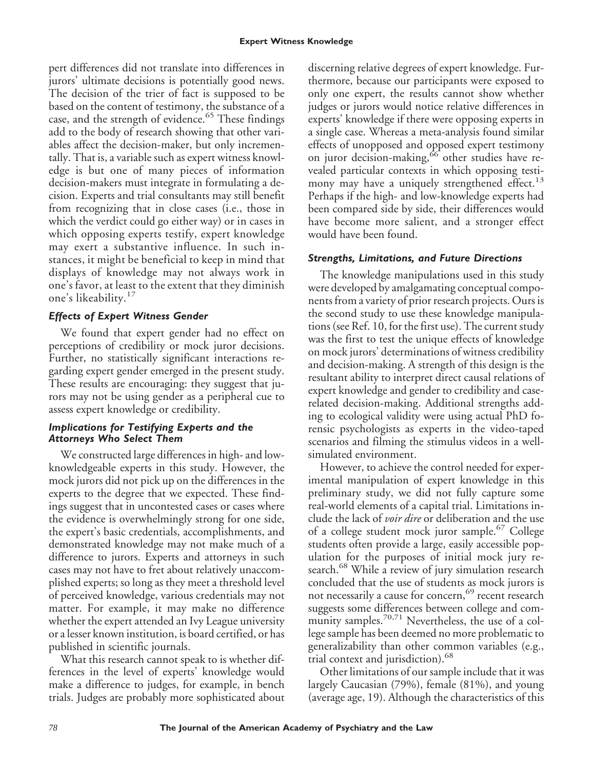pert differences did not translate into differences in jurors' ultimate decisions is potentially good news. The decision of the trier of fact is supposed to be based on the content of testimony, the substance of a case, and the strength of evidence.<sup>65</sup> These findings add to the body of research showing that other variables affect the decision-maker, but only incrementally. That is, a variable such as expert witness knowledge is but one of many pieces of information decision-makers must integrate in formulating a decision. Experts and trial consultants may still benefit from recognizing that in close cases (i.e., those in which the verdict could go either way) or in cases in which opposing experts testify, expert knowledge may exert a substantive influence. In such instances, it might be beneficial to keep in mind that displays of knowledge may not always work in one's favor, at least to the extent that they diminish one's likeability.<sup>17</sup>

## *Effects of Expert Witness Gender*

We found that expert gender had no effect on perceptions of credibility or mock juror decisions. Further, no statistically significant interactions regarding expert gender emerged in the present study. These results are encouraging: they suggest that jurors may not be using gender as a peripheral cue to assess expert knowledge or credibility.

#### *Implications for Testifying Experts and the Attorneys Who Select Them*

We constructed large differences in high- and lowknowledgeable experts in this study. However, the mock jurors did not pick up on the differences in the experts to the degree that we expected. These findings suggest that in uncontested cases or cases where the evidence is overwhelmingly strong for one side, the expert's basic credentials, accomplishments, and demonstrated knowledge may not make much of a difference to jurors. Experts and attorneys in such cases may not have to fret about relatively unaccomplished experts; so long as they meet a threshold level of perceived knowledge, various credentials may not matter. For example, it may make no difference whether the expert attended an Ivy League university or a lesser known institution, is board certified, or has published in scientific journals.

What this research cannot speak to is whether differences in the level of experts' knowledge would make a difference to judges, for example, in bench trials. Judges are probably more sophisticated about

discerning relative degrees of expert knowledge. Furthermore, because our participants were exposed to only one expert, the results cannot show whether judges or jurors would notice relative differences in experts' knowledge if there were opposing experts in a single case. Whereas a meta-analysis found similar effects of unopposed and opposed expert testimony on juror decision-making,<sup>66</sup> other studies have revealed particular contexts in which opposing testimony may have a uniquely strengthened effect.<sup>13</sup> Perhaps if the high- and low-knowledge experts had been compared side by side, their differences would have become more salient, and a stronger effect would have been found.

## *Strengths, Limitations, and Future Directions*

The knowledge manipulations used in this study were developed by amalgamating conceptual components from a variety of prior research projects. Ours is the second study to use these knowledge manipulations (see Ref. 10, for the first use). The current study was the first to test the unique effects of knowledge on mock jurors' determinations of witness credibility and decision-making. A strength of this design is the resultant ability to interpret direct causal relations of expert knowledge and gender to credibility and caserelated decision-making. Additional strengths adding to ecological validity were using actual PhD forensic psychologists as experts in the video-taped scenarios and filming the stimulus videos in a wellsimulated environment.

However, to achieve the control needed for experimental manipulation of expert knowledge in this preliminary study, we did not fully capture some real-world elements of a capital trial. Limitations include the lack of *voir dire* or deliberation and the use of a college student mock juror sample.<sup>67</sup> College students often provide a large, easily accessible population for the purposes of initial mock jury research.<sup>68</sup> While a review of jury simulation research concluded that the use of students as mock jurors is not necessarily a cause for concern,<sup>69</sup> recent research suggests some differences between college and community samples.<sup>70,71</sup> Nevertheless, the use of a college sample has been deemed no more problematic to generalizability than other common variables (e.g., trial context and jurisdiction).<sup>68</sup>

Other limitations of our sample include that it was largely Caucasian (79%), female (81%), and young (average age, 19). Although the characteristics of this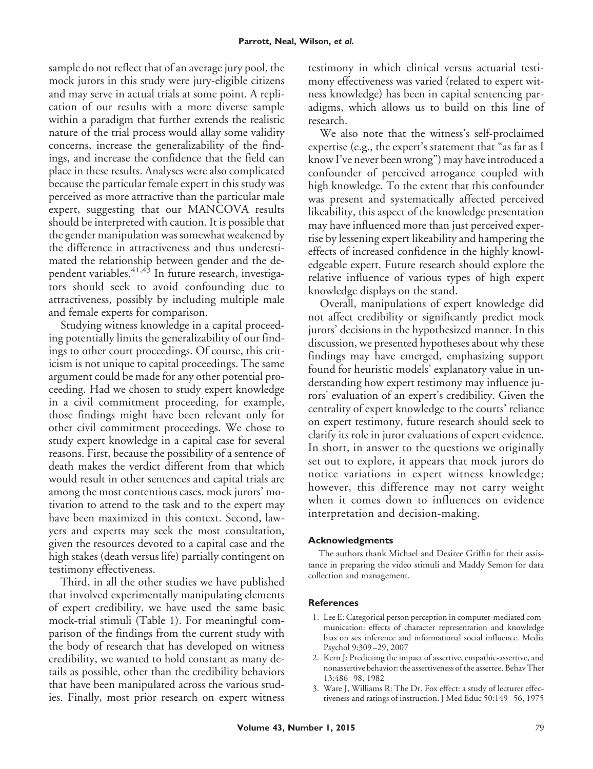sample do not reflect that of an average jury pool, the mock jurors in this study were jury-eligible citizens and may serve in actual trials at some point. A replication of our results with a more diverse sample within a paradigm that further extends the realistic nature of the trial process would allay some validity concerns, increase the generalizability of the findings, and increase the confidence that the field can place in these results. Analyses were also complicated because the particular female expert in this study was perceived as more attractive than the particular male expert, suggesting that our MANCOVA results should be interpreted with caution. It is possible that the gender manipulation was somewhat weakened by the difference in attractiveness and thus underestimated the relationship between gender and the dependent variables.<sup>41,43</sup> In future research, investigators should seek to avoid confounding due to attractiveness, possibly by including multiple male and female experts for comparison.

Studying witness knowledge in a capital proceeding potentially limits the generalizability of our findings to other court proceedings. Of course, this criticism is not unique to capital proceedings. The same argument could be made for any other potential proceeding. Had we chosen to study expert knowledge in a civil commitment proceeding, for example, those findings might have been relevant only for other civil commitment proceedings. We chose to study expert knowledge in a capital case for several reasons. First, because the possibility of a sentence of death makes the verdict different from that which would result in other sentences and capital trials are among the most contentious cases, mock jurors' motivation to attend to the task and to the expert may have been maximized in this context. Second, lawyers and experts may seek the most consultation, given the resources devoted to a capital case and the high stakes (death versus life) partially contingent on testimony effectiveness.

Third, in all the other studies we have published that involved experimentally manipulating elements of expert credibility, we have used the same basic mock-trial stimuli (Table 1). For meaningful comparison of the findings from the current study with the body of research that has developed on witness credibility, we wanted to hold constant as many details as possible, other than the credibility behaviors that have been manipulated across the various studies. Finally, most prior research on expert witness testimony in which clinical versus actuarial testimony effectiveness was varied (related to expert witness knowledge) has been in capital sentencing paradigms, which allows us to build on this line of research.

We also note that the witness's self-proclaimed expertise (e.g., the expert's statement that "as far as I know I've never been wrong") may have introduced a confounder of perceived arrogance coupled with high knowledge. To the extent that this confounder was present and systematically affected perceived likeability, this aspect of the knowledge presentation may have influenced more than just perceived expertise by lessening expert likeability and hampering the effects of increased confidence in the highly knowledgeable expert. Future research should explore the relative influence of various types of high expert knowledge displays on the stand.

Overall, manipulations of expert knowledge did not affect credibility or significantly predict mock jurors' decisions in the hypothesized manner. In this discussion, we presented hypotheses about why these findings may have emerged, emphasizing support found for heuristic models' explanatory value in understanding how expert testimony may influence jurors' evaluation of an expert's credibility. Given the centrality of expert knowledge to the courts' reliance on expert testimony, future research should seek to clarify its role in juror evaluations of expert evidence. In short, in answer to the questions we originally set out to explore, it appears that mock jurors do notice variations in expert witness knowledge; however, this difference may not carry weight when it comes down to influences on evidence interpretation and decision-making.

#### **Acknowledgments**

The authors thank Michael and Desiree Griffin for their assistance in preparing the video stimuli and Maddy Semon for data collection and management.

#### **References**

- 1. Lee E: Categorical person perception in computer-mediated communication: effects of character representation and knowledge bias on sex inference and informational social influence. Media Psychol 9:309 –29, 2007
- 2. Kern J: Predicting the impact of assertive, empathic-assertive, and nonassertive behavior: the assertiveness of the assertee. Behav Ther 13:486 –98, 1982
- 3. Ware J, Williams R: The Dr. Fox effect: a study of lecturer effectiveness and ratings of instruction. J Med Educ 50:149 –56, 1975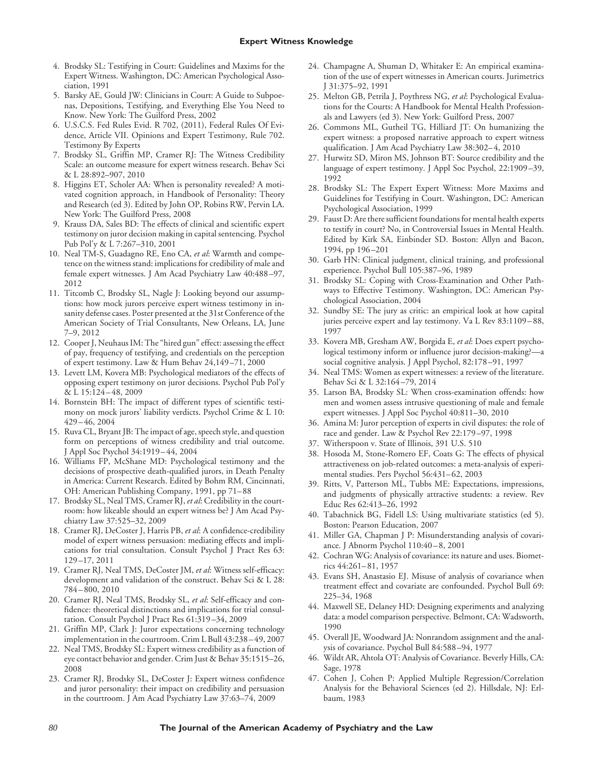- 4. Brodsky SL: Testifying in Court: Guidelines and Maxims for the Expert Witness. Washington, DC: American Psychological Association, 1991
- 5. Barsky AE, Gould JW: Clinicians in Court: A Guide to Subpoenas, Depositions, Testifying, and Everything Else You Need to Know. New York: The Guilford Press, 2002
- 6. U.S.C.S. Fed Rules Evid. R 702, (2011), Federal Rules Of Evidence, Article VII. Opinions and Expert Testimony, Rule 702. Testimony By Experts
- 7. Brodsky SL, Griffin MP, Cramer RJ: The Witness Credibility Scale: an outcome measure for expert witness research. Behav Sci & L 28:892–907, 2010
- 8. Higgins ET, Scholer AA: When is personality revealed? A motivated cognition approach, in Handbook of Personality: Theory and Research (ed 3). Edited by John OP, Robins RW, Pervin LA. New York: The Guilford Press, 2008
- 9. Krauss DA, Sales BD: The effects of clinical and scientific expert testimony on juror decision making in capital sentencing. Psychol Pub Pol'y & L 7:267–310, 2001
- 10. Neal TM-S, Guadagno RE, Eno CA, *et al*: Warmth and competence on the witness stand: implications for credibility of male and female expert witnesses. J Am Acad Psychiatry Law 40:488 –97, 2012
- 11. Titcomb C, Brodsky SL, Nagle J: Looking beyond our assumptions: how mock jurors perceive expert witness testimony in insanity defense cases. Poster presented at the 31st Conference of the American Society of Trial Consultants, New Orleans, LA, June 7–9, 2012
- 12. Cooper J, Neuhaus IM: The "hired gun" effect: assessing the effect of pay, frequency of testifying, and credentials on the perception of expert testimony. Law & Hum Behav 24,149 –71, 2000
- 13. Levett LM, Kovera MB: Psychological mediators of the effects of opposing expert testimony on juror decisions. Psychol Pub Pol'y & L 15:124 – 48, 2009
- 14. Bornstein BH: The impact of different types of scientific testimony on mock jurors' liability verdicts. Psychol Crime & L 10: 429 – 46, 2004
- 15. Ruva CL, Bryant JB: The impact of age, speech style, and question form on perceptions of witness credibility and trial outcome. J Appl Soc Psychol 34:1919 – 44, 2004
- 16. Williams FP, McShane MD: Psychological testimony and the decisions of prospective death-qualified jurors, in Death Penalty in America: Current Research. Edited by Bohm RM, Cincinnati, OH: American Publishing Company, 1991, pp 71– 88
- 17. Brodsky SL, Neal TMS, Cramer RJ, *et al*: Credibility in the courtroom: how likeable should an expert witness be? J Am Acad Psychiatry Law 37:525–32, 2009
- 18. Cramer RJ, DeCoster J, Harris PB, *et al*: A confidence-credibility model of expert witness persuasion: mediating effects and implications for trial consultation. Consult Psychol J Pract Res 63: 129 –17, 2011
- 19. Cramer RJ, Neal TMS, DeCoster JM, *et al*: Witness self-efficacy: development and validation of the construct. Behav Sci & L 28: 784 – 800, 2010
- 20. Cramer RJ, Neal TMS, Brodsky SL, *et al*: Self-efficacy and confidence: theoretical distinctions and implications for trial consultation. Consult Psychol J Pract Res 61:319 –34, 2009
- 21. Griffin MP, Clark J: Juror expectations concerning technology implementation in the courtroom. Crim L Bull 43:238 – 49, 2007
- 22. Neal TMS, Brodsky SL: Expert witness credibility as a function of eye contact behavior and gender. Crim Just & Behav 35:1515–26, 2008
- 23. Cramer RJ, Brodsky SL, DeCoster J: Expert witness confidence and juror personality: their impact on credibility and persuasion in the courtroom. J Am Acad Psychiatry Law 37:63–74, 2009
- 24. Champagne A, Shuman D, Whitaker E: An empirical examination of the use of expert witnesses in American courts. Jurimetrics J 31:375–92, 1991
- 25. Melton GB, Petrila J, Poythress NG, *et al*: Psychological Evaluations for the Courts: A Handbook for Mental Health Professionals and Lawyers (ed 3). New York: Guilford Press, 2007
- 26. Commons ML, Gutheil TG, Hilliard JT: On humanizing the expert witness: a proposed narrative approach to expert witness qualification. J Am Acad Psychiatry Law 38:302-4, 2010
- 27. Hurwitz SD, Miron MS, Johnson BT: Source credibility and the language of expert testimony. J Appl Soc Psychol, 22:1909 –39, 1992
- 28. Brodsky SL: The Expert Expert Witness: More Maxims and Guidelines for Testifying in Court. Washington, DC: American Psychological Association, 1999
- 29. Faust D: Are there sufficient foundations for mental health experts to testify in court? No, in Controversial Issues in Mental Health. Edited by Kirk SA, Einbinder SD. Boston: Allyn and Bacon, 1994, pp 196 –201
- 30. Garb HN: Clinical judgment, clinical training, and professional experience. Psychol Bull 105:387–96, 1989
- 31. Brodsky SL: Coping with Cross-Examination and Other Pathways to Effective Testimony. Washington, DC: American Psychological Association, 2004
- 32. Sundby SE: The jury as critic: an empirical look at how capital juries perceive expert and lay testimony. Va L Rev 83:1109-88, 1997
- 33. Kovera MB, Gresham AW, Borgida E, *et al*: Does expert psychological testimony inform or influence juror decision-making?social cognitive analysis. J Appl Psychol, 82:178 –91, 1997
- 34. Neal TMS: Women as expert witnesses: a review of the literature. Behav Sci & L 32:164 –79, 2014
- 35. Larson BA, Brodsky SL: When cross-examination offends: how men and women assess intrusive questioning of male and female expert witnesses. J Appl Soc Psychol 40:811–30, 2010
- 36. Amina M: Juror perception of experts in civil disputes: the role of race and gender. Law & Psychol Rev 22:179 –97, 1998
- 37. Witherspoon v. State of Illinois, 391 U.S. 510
- 38. Hosoda M, Stone-Romero EF, Coats G: The effects of physical attractiveness on job-related outcomes: a meta-analysis of experimental studies. Pers Psychol 56:431-62, 2003
- 39. Ritts, V, Patterson ML, Tubbs ME: Expectations, impressions, and judgments of physically attractive students: a review. Rev Educ Res 62:413–26, 1992
- 40. Tabachnick BG, Fidell LS: Using multivariate statistics (ed 5). Boston: Pearson Education, 2007
- 41. Miller GA, Chapman J P: Misunderstanding analysis of covariance. J Abnorm Psychol 110:40 – 8, 2001
- 42. Cochran WG: Analysis of covariance: its nature and uses. Biometrics 44:261– 81, 1957
- 43. Evans SH, Anastasio EJ. Misuse of analysis of covariance when treatment effect and covariate are confounded. Psychol Bull 69: 225–34, 1968
- 44. Maxwell SE, Delaney HD: Designing experiments and analyzing data: a model comparison perspective. Belmont, CA: Wadsworth, 1990
- 45. Overall JE, Woodward JA: Nonrandom assignment and the analysis of covariance. Psychol Bull 84:588 –94, 1977
- 46. Wildt AR, Ahtola OT: Analysis of Covariance. Beverly Hills, CA: Sage, 1978
- 47. Cohen J, Cohen P: Applied Multiple Regression/Correlation Analysis for the Behavioral Sciences (ed 2). Hillsdale, NJ: Erlbaum, 1983